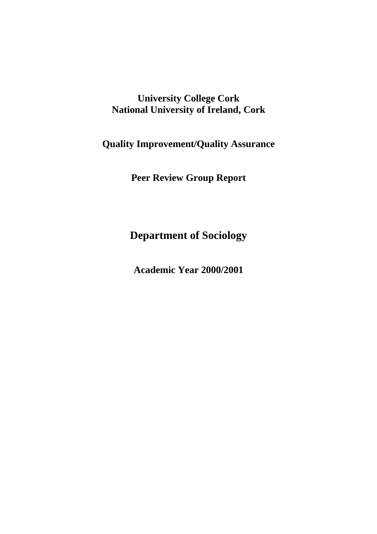# **University College Cork National University of Ireland, Cork**

**Quality Improvement/Quality Assurance** 

**Peer Review Group Report** 

**Department of Sociology** 

**Academic Year 2000/2001**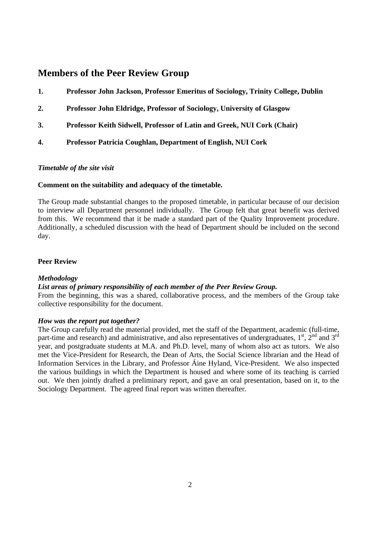# **Members of the Peer Review Group**

- **1. Professor John Jackson, Professor Emeritus of Sociology, Trinity College, Dublin**
- **2. Professor John Eldridge, Professor of Sociology, University of Glasgow**
- **3. Professor Keith Sidwell, Professor of Latin and Greek, NUI Cork (Chair)**
- **4. Professor Patricia Coughlan, Department of English, NUI Cork**

#### *Timetable of the site visit*

#### **Comment on the suitability and adequacy of the timetable.**

The Group made substantial changes to the proposed timetable, in particular because of our decision to interview all Department personnel individually. The Group felt that great benefit was derived from this. We recommend that it be made a standard part of the Quality Improvement procedure. Additionally, a scheduled discussion with the head of Department should be included on the second day.

#### **Peer Review**

#### *Methodology*

### *List areas of primary responsibility of each member of the Peer Review Group.*

From the beginning, this was a shared, collaborative process, and the members of the Group take collective responsibility for the document.

#### *How was the report put together?*

The Group carefully read the material provided, met the staff of the Department, academic (full-time, part-time and research) and administrative, and also representatives of undergraduates,  $1<sup>st</sup>$ ,  $2<sup>nd</sup>$  and  $3<sup>rd</sup>$ year, and postgraduate students at M.A. and Ph.D. level, many of whom also act as tutors. We also met the Vice-President for Research, the Dean of Arts, the Social Science librarian and the Head of Information Services in the Library, and Professor Áine Hyland, Vice-President. We also inspected the various buildings in which the Department is housed and where some of its teaching is carried out. We then jointly drafted a preliminary report, and gave an oral presentation, based on it, to the Sociology Department. The agreed final report was written thereafter.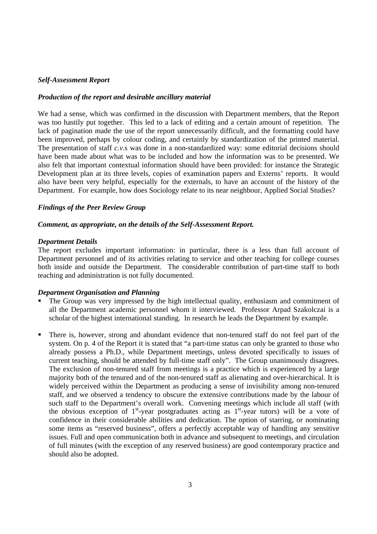#### *Self-Assessment Report*

#### *Production of the report and desirable ancillary material*

We had a sense, which was confirmed in the discussion with Department members, that the Report was too hastily put together. This led to a lack of editing and a certain amount of repetition. The lack of pagination made the use of the report unnecessarily difficult, and the formatting could have been improved, perhaps by colour coding, and certainly by standardization of the printed material. The presentation of staff *c.v.*s was done in a non-standardized way: some editorial decisions should have been made about what was to be included and how the information was to be presented. We also felt that important contextual information should have been provided: for instance the Strategic Development plan at its three levels, copies of examination papers and Externs' reports. It would also have been very helpful, especially for the externals, to have an account of the history of the Department. For example, how does Sociology relate to its near neighbour, Applied Social Studies?

### *Findings of the Peer Review Group*

#### *Comment, as appropriate, on the details of the Self-Assessment Report.*

#### *Department Details*

The report excludes important information: in particular, there is a less than full account of Department personnel and of its activities relating to service and other teaching for college courses both inside and outside the Department. The considerable contribution of part-time staff to both teaching and administration is not fully documented.

#### *Department Organisation and Planning*

- The Group was very impressed by the high intellectual quality, enthusiasm and commitment of all the Department academic personnel whom it interviewed. Professor Arpad Szakolczai is a scholar of the highest international standing. In research he leads the Department by example.
- There is, however, strong and abundant evidence that non-tenured staff do not feel part of the system. On p. 4 of the Report it is stated that "a part-time status can only be granted to those who already possess a Ph.D., while Department meetings, unless devoted specifically to issues of current teaching, should be attended by full-time staff only". The Group unanimously disagrees. The exclusion of non-tenured staff from meetings is a practice which is experienced by a large majority both of the tenured and of the non-tenured staff as alienating and over-hierarchical. It is widely perceived within the Department as producing a sense of invisibility among non-tenured staff, and we observed a tendency to obscure the extensive contributions made by the labour of such staff to the Department's overall work. Convening meetings which include all staff (with the obvious exception of  $1<sup>st</sup>$ -year postgraduates acting as  $1<sup>st</sup>$ -year tutors) will be a vote of confidence in their considerable abilities and dedication. The option of starring, or nominating some items as "reserved business", offers a perfectly acceptable way of handling any sensitive issues. Full and open communication both in advance and subsequent to meetings, and circulation of full minutes (with the exception of any reserved business) are good contemporary practice and should also be adopted.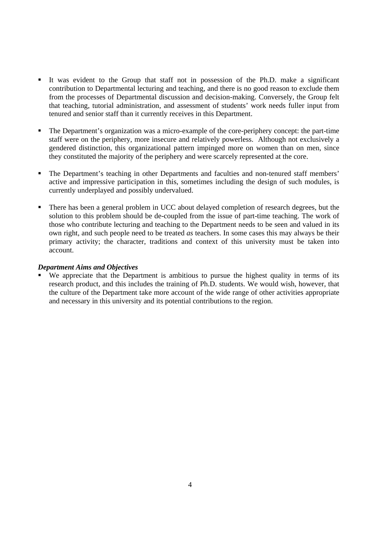- It was evident to the Group that staff not in possession of the Ph.D. make a significant contribution to Departmental lecturing and teaching, and there is no good reason to exclude them from the processes of Departmental discussion and decision-making. Conversely, the Group felt that teaching, tutorial administration, and assessment of students' work needs fuller input from tenured and senior staff than it currently receives in this Department.
- The Department's organization was a micro-example of the core-periphery concept: the part-time staff were on the periphery, more insecure and relatively powerless. Although not exclusively a gendered distinction, this organizational pattern impinged more on women than on men, since they constituted the majority of the periphery and were scarcely represented at the core.
- The Department's teaching in other Departments and faculties and non-tenured staff members' active and impressive participation in this, sometimes including the design of such modules, is currently underplayed and possibly undervalued.
- There has been a general problem in UCC about delayed completion of research degrees, but the solution to this problem should be de-coupled from the issue of part-time teaching. The work of those who contribute lecturing and teaching to the Department needs to be seen and valued in its own right, and such people need to be treated *as* teachers. In some cases this may always be their primary activity; the character, traditions and context of this university must be taken into account.

## *Department Aims and Objectives*

 We appreciate that the Department is ambitious to pursue the highest quality in terms of its research product, and this includes the training of Ph.D. students. We would wish, however, that the culture of the Department take more account of the wide range of other activities appropriate and necessary in this university and its potential contributions to the region.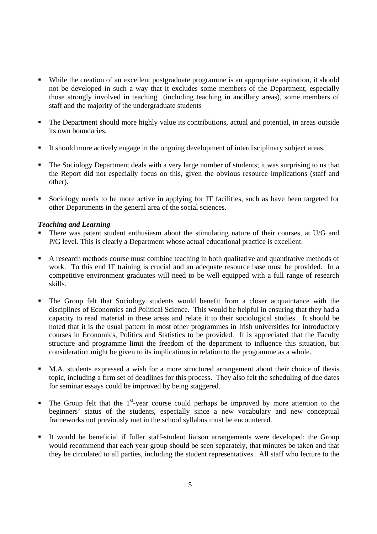- While the creation of an excellent postgraduate programme is an appropriate aspiration, it should not be developed in such a way that it excludes some members of the Department, especially those strongly involved in teaching (including teaching in ancillary areas), some members of staff and the majority of the undergraduate students
- The Department should more highly value its contributions, actual and potential, in areas outside its own boundaries.
- It should more actively engage in the ongoing development of interdisciplinary subject areas.
- The Sociology Department deals with a very large number of students; it was surprising to us that the Report did not especially focus on this, given the obvious resource implications (staff and other).
- Sociology needs to be more active in applying for IT facilities, such as have been targeted for other Departments in the general area of the social sciences.

## *Teaching and Learning*

- There was patent student enthusiasm about the stimulating nature of their courses, at U/G and P/G level. This is clearly a Department whose actual educational practice is excellent.
- A research methods course must combine teaching in both qualitative and quantitative methods of work. To this end IT training is crucial and an adequate resource base must be provided. In a competitive environment graduates will need to be well equipped with a full range of research skills.
- The Group felt that Sociology students would benefit from a closer acquaintance with the disciplines of Economics and Political Science. This would be helpful in ensuring that they had a capacity to read material in these areas and relate it to their sociological studies. It should be noted that it is the usual pattern in most other programmes in Irish universities for introductory courses in Economics, Politics and Statistics to be provided. It is appreciated that the Faculty structure and programme limit the freedom of the department to influence this situation, but consideration might be given to its implications in relation to the programme as a whole.
- M.A. students expressed a wish for a more structured arrangement about their choice of thesis topic, including a firm set of deadlines for this process. They also felt the scheduling of due dates for seminar essays could be improved by being staggered.
- $\blacksquare$  The Group felt that the 1<sup>st</sup>-year course could perhaps be improved by more attention to the beginners' status of the students, especially since a new vocabulary and new conceptual frameworks not previously met in the school syllabus must be encountered.
- It would be beneficial if fuller staff-student liaison arrangements were developed: the Group would recommend that each year group should be seen separately, that minutes be taken and that they be circulated to all parties, including the student representatives. All staff who lecture to the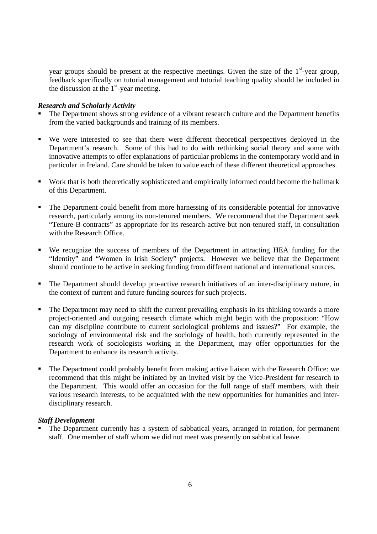year groups should be present at the respective meetings. Given the size of the  $1<sup>st</sup>$ -year group, feedback specifically on tutorial management and tutorial teaching quality should be included in the discussion at the  $1<sup>st</sup>$ -year meeting.

#### *Research and Scholarly Activity*

- The Department shows strong evidence of a vibrant research culture and the Department benefits from the varied backgrounds and training of its members.
- We were interested to see that there were different theoretical perspectives deployed in the Department's research. Some of this had to do with rethinking social theory and some with innovative attempts to offer explanations of particular problems in the contemporary world and in particular in Ireland. Care should be taken to value each of these different theoretical approaches.
- Work that is both theoretically sophisticated and empirically informed could become the hallmark of this Department.
- The Department could benefit from more harnessing of its considerable potential for innovative research, particularly among its non-tenured members. We recommend that the Department seek "Tenure-B contracts" as appropriate for its research-active but non-tenured staff, in consultation with the Research Office.
- We recognize the success of members of the Department in attracting HEA funding for the "Identity" and "Women in Irish Society" projects. However we believe that the Department should continue to be active in seeking funding from different national and international sources.
- The Department should develop pro-active research initiatives of an inter-disciplinary nature, in the context of current and future funding sources for such projects.
- The Department may need to shift the current prevailing emphasis in its thinking towards a more project-oriented and outgoing research climate which might begin with the proposition: "How can my discipline contribute to current sociological problems and issues?" For example, the sociology of environmental risk and the sociology of health, both currently represented in the research work of sociologists working in the Department, may offer opportunities for the Department to enhance its research activity.
- The Department could probably benefit from making active liaison with the Research Office: we recommend that this might be initiated by an invited visit by the Vice-President for research to the Department. This would offer an occasion for the full range of staff members, with their various research interests, to be acquainted with the new opportunities for humanities and interdisciplinary research.

## *Staff Development*

 The Department currently has a system of sabbatical years, arranged in rotation, for permanent staff. One member of staff whom we did not meet was presently on sabbatical leave.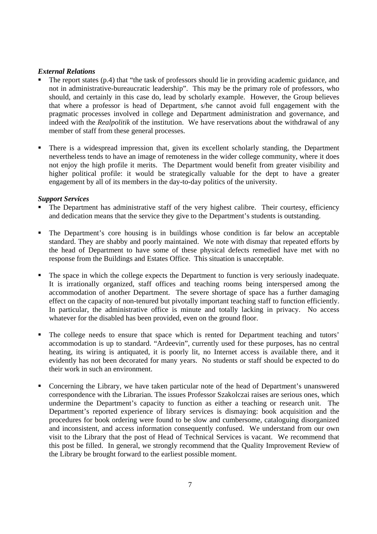## *External Relations*

- The report states (p.4) that "the task of professors should lie in providing academic guidance, and not in administrative-bureaucratic leadership". This may be the primary role of professors, who should, and certainly in this case do, lead by scholarly example. However, the Group believes that where a professor is head of Department, s/he cannot avoid full engagement with the pragmatic processes involved in college and Department administration and governance, and indeed with the *Realpolitik* of the institution. We have reservations about the withdrawal of any member of staff from these general processes.
- There is a widespread impression that, given its excellent scholarly standing, the Department nevertheless tends to have an image of remoteness in the wider college community, where it does not enjoy the high profile it merits. The Department would benefit from greater visibility and higher political profile: it would be strategically valuable for the dept to have a greater engagement by all of its members in the day-to-day politics of the university.

### *Support Services*

- The Department has administrative staff of the very highest calibre. Their courtesy, efficiency and dedication means that the service they give to the Department's students is outstanding.
- The Department's core housing is in buildings whose condition is far below an acceptable standard. They are shabby and poorly maintained. We note with dismay that repeated efforts by the head of Department to have some of these physical defects remedied have met with no response from the Buildings and Estates Office. This situation is unacceptable.
- The space in which the college expects the Department to function is very seriously inadequate. It is irrationally organized, staff offices and teaching rooms being interspersed among the accommodation of another Department. The severe shortage of space has a further damaging effect on the capacity of non-tenured but pivotally important teaching staff to function efficiently. In particular, the administrative office is minute and totally lacking in privacy. No access whatever for the disabled has been provided, even on the ground floor.
- The college needs to ensure that space which is rented for Department teaching and tutors' accommodation is up to standard. "Ardeevin", currently used for these purposes, has no central heating, its wiring is antiquated, it is poorly lit, no Internet access is available there, and it evidently has not been decorated for many years. No students or staff should be expected to do their work in such an environment.
- Concerning the Library, we have taken particular note of the head of Department's unanswered correspondence with the Librarian. The issues Professor Szakolczai raises are serious ones, which undermine the Department's capacity to function as either a teaching or research unit. The Department's reported experience of library services is dismaying: book acquisition and the procedures for book ordering were found to be slow and cumbersome, cataloguing disorganized and inconsistent, and access information consequently confused. We understand from our own visit to the Library that the post of Head of Technical Services is vacant. We recommend that this post be filled. In general, we strongly recommend that the Quality Improvement Review of the Library be brought forward to the earliest possible moment.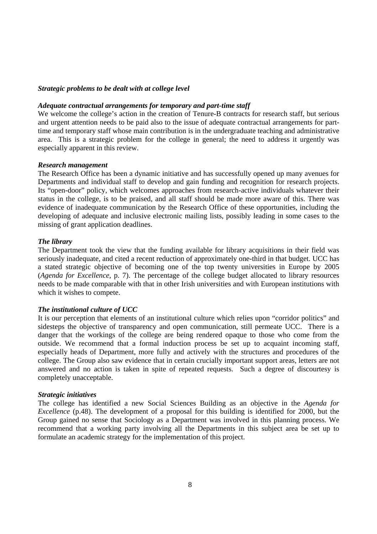#### *Strategic problems to be dealt with at college level*

#### *Adequate contractual arrangements for temporary and part-time staff*

We welcome the college's action in the creation of Tenure-B contracts for research staff, but serious and urgent attention needs to be paid also to the issue of adequate contractual arrangements for parttime and temporary staff whose main contribution is in the undergraduate teaching and administrative area. This is a strategic problem for the college in general; the need to address it urgently was especially apparent in this review.

#### *Research management*

The Research Office has been a dynamic initiative and has successfully opened up many avenues for Departments and individual staff to develop and gain funding and recognition for research projects. Its "open-door" policy, which welcomes approaches from research-active individuals whatever their status in the college, is to be praised, and all staff should be made more aware of this. There was evidence of inadequate communication by the Research Office of these opportunities, including the developing of adequate and inclusive electronic mailing lists, possibly leading in some cases to the missing of grant application deadlines.

#### *The library*

The Department took the view that the funding available for library acquisitions in their field was seriously inadequate, and cited a recent reduction of approximately one-third in that budget. UCC has a stated strategic objective of becoming one of the top twenty universities in Europe by 2005 (*Agenda for Excellence*, p. 7). The percentage of the college budget allocated to library resources needs to be made comparable with that in other Irish universities and with European institutions with which it wishes to compete.

#### *The institutional culture of UCC*

It is our perception that elements of an institutional culture which relies upon "corridor politics" and sidesteps the objective of transparency and open communication, still permeate UCC. There is a danger that the workings of the college are being rendered opaque to those who come from the outside. We recommend that a formal induction process be set up to acquaint incoming staff, especially heads of Department, more fully and actively with the structures and procedures of the college. The Group also saw evidence that in certain crucially important support areas, letters are not answered and no action is taken in spite of repeated requests. Such a degree of discourtesy is completely unacceptable.

#### *Strategic initiatives*

The college has identified a new Social Sciences Building as an objective in the *Agenda for Excellence* (p.48). The development of a proposal for this building is identified for 2000, but the Group gained no sense that Sociology as a Department was involved in this planning process. We recommend that a working party involving all the Departments in this subject area be set up to formulate an academic strategy for the implementation of this project.